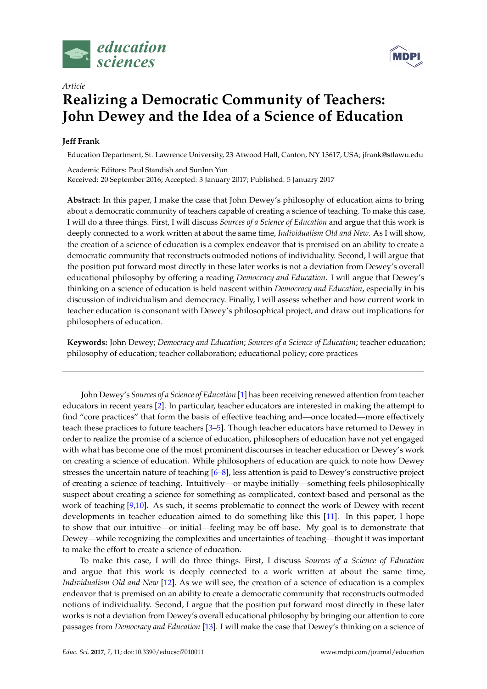



# *Article* **Realizing a Democratic Community of Teachers: John Dewey and the Idea of a Science of Education**

# **Jeff Frank**

Education Department, St. Lawrence University, 23 Atwood Hall, Canton, NY 13617, USA; jfrank@stlawu.edu

Academic Editors: Paul Standish and SunInn Yun Received: 20 September 2016; Accepted: 3 January 2017; Published: 5 January 2017

**Abstract:** In this paper, I make the case that John Dewey's philosophy of education aims to bring about a democratic community of teachers capable of creating a science of teaching. To make this case, I will do a three things. First, I will discuss *Sources of a Science of Education* and argue that this work is deeply connected to a work written at about the same time, *Individualism Old and New*. As I will show, the creation of a science of education is a complex endeavor that is premised on an ability to create a democratic community that reconstructs outmoded notions of individuality. Second, I will argue that the position put forward most directly in these later works is not a deviation from Dewey's overall educational philosophy by offering a reading *Democracy and Education*. I will argue that Dewey's thinking on a science of education is held nascent within *Democracy and Education*, especially in his discussion of individualism and democracy. Finally, I will assess whether and how current work in teacher education is consonant with Dewey's philosophical project, and draw out implications for philosophers of education.

**Keywords:** John Dewey; *Democracy and Education*; *Sources of a Science of Education*; teacher education; philosophy of education; teacher collaboration; educational policy; core practices

John Dewey's *Sources of a Science of Education* [\[1\]](#page-8-0) has been receiving renewed attention from teacher educators in recent years [\[2\]](#page-8-1). In particular, teacher educators are interested in making the attempt to find "core practices" that form the basis of effective teaching and—once located—more effectively teach these practices to future teachers [\[3–](#page-8-2)[5\]](#page-8-3). Though teacher educators have returned to Dewey in order to realize the promise of a science of education, philosophers of education have not yet engaged with what has become one of the most prominent discourses in teacher education or Dewey's work on creating a science of education. While philosophers of education are quick to note how Dewey stresses the uncertain nature of teaching [\[6](#page-8-4)[–8\]](#page-8-5), less attention is paid to Dewey's constructive project of creating a science of teaching. Intuitively—or maybe initially—something feels philosophically suspect about creating a science for something as complicated, context-based and personal as the work of teaching [\[9](#page-8-6)[,10\]](#page-8-7). As such, it seems problematic to connect the work of Dewey with recent developments in teacher education aimed to do something like this [\[11\]](#page-8-8). In this paper, I hope to show that our intuitive—or initial—feeling may be off base. My goal is to demonstrate that Dewey—while recognizing the complexities and uncertainties of teaching—thought it was important to make the effort to create a science of education.

To make this case, I will do three things. First, I discuss *Sources of a Science of Education* and argue that this work is deeply connected to a work written at about the same time, *Individualism Old and New* [\[12\]](#page-8-9). As we will see, the creation of a science of education is a complex endeavor that is premised on an ability to create a democratic community that reconstructs outmoded notions of individuality. Second, I argue that the position put forward most directly in these later works is not a deviation from Dewey's overall educational philosophy by bringing our attention to core passages from *Democracy and Education* [\[13\]](#page-8-10). I will make the case that Dewey's thinking on a science of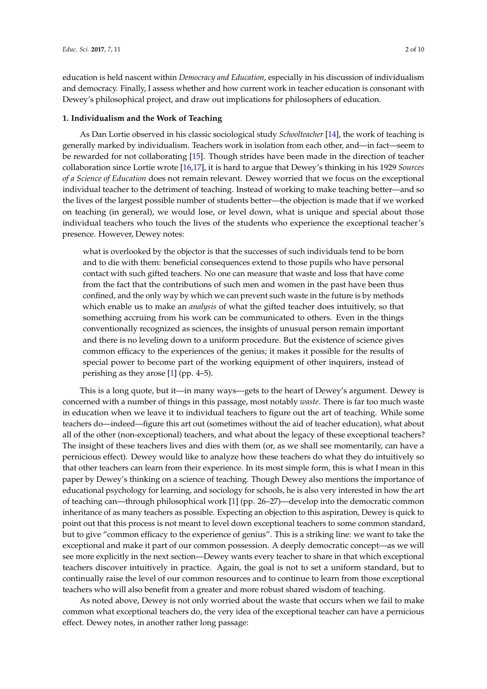education is held nascent within *Democracy and Education*, especially in his discussion of individualism and democracy. Finally, I assess whether and how current work in teacher education is consonant with Dewey's philosophical project, and draw out implications for philosophers of education.

#### **1. Individualism and the Work of Teaching**

As Dan Lortie observed in his classic sociological study *Schoolteacher* [\[14\]](#page-8-11), the work of teaching is generally marked by individualism. Teachers work in isolation from each other, and—in fact—seem to be rewarded for not collaborating [\[15\]](#page-8-12). Though strides have been made in the direction of teacher collaboration since Lortie wrote [\[16](#page-9-0)[,17\]](#page-9-1), it is hard to argue that Dewey's thinking in his 1929 *Sources of a Science of Education* does not remain relevant. Dewey worried that we focus on the exceptional individual teacher to the detriment of teaching. Instead of working to make teaching better—and so the lives of the largest possible number of students better—the objection is made that if we worked on teaching (in general), we would lose, or level down, what is unique and special about those individual teachers who touch the lives of the students who experience the exceptional teacher's presence. However, Dewey notes:

what is overlooked by the objector is that the successes of such individuals tend to be born and to die with them: beneficial consequences extend to those pupils who have personal contact with such gifted teachers. No one can measure that waste and loss that have come from the fact that the contributions of such men and women in the past have been thus confined, and the only way by which we can prevent such waste in the future is by methods which enable us to make an *analysis* of what the gifted teacher does intuitively, so that something accruing from his work can be communicated to others. Even in the things conventionally recognized as sciences, the insights of unusual person remain important and there is no leveling down to a uniform procedure. But the existence of science gives common efficacy to the experiences of the genius; it makes it possible for the results of special power to become part of the working equipment of other inquirers, instead of perishing as they arose [\[1\]](#page-8-0) (pp. 4–5).

This is a long quote, but it—in many ways—gets to the heart of Dewey's argument. Dewey is concerned with a number of things in this passage, most notably *waste*. There is far too much waste in education when we leave it to individual teachers to figure out the art of teaching. While some teachers do—indeed—figure this art out (sometimes without the aid of teacher education), what about all of the other (non-exceptional) teachers, and what about the legacy of these exceptional teachers? The insight of these teachers lives and dies with them (or, as we shall see momentarily, can have a pernicious effect). Dewey would like to analyze how these teachers do what they do intuitively so that other teachers can learn from their experience. In its most simple form, this is what I mean in this paper by Dewey's thinking on a science of teaching. Though Dewey also mentions the importance of educational psychology for learning, and sociology for schools, he is also very interested in how the art of teaching can—through philosophical work [\[1\]](#page-8-0) (pp. 26–27)—develop into the democratic common inheritance of as many teachers as possible. Expecting an objection to this aspiration, Dewey is quick to point out that this process is not meant to level down exceptional teachers to some common standard, but to give "common efficacy to the experience of genius". This is a striking line: we want to take the exceptional and make it part of our common possession. A deeply democratic concept—as we will see more explicitly in the next section—Dewey wants every teacher to share in that which exceptional teachers discover intuitively in practice. Again, the goal is not to set a uniform standard, but to continually raise the level of our common resources and to continue to learn from those exceptional teachers who will also benefit from a greater and more robust shared wisdom of teaching.

As noted above, Dewey is not only worried about the waste that occurs when we fail to make common what exceptional teachers do, the very idea of the exceptional teacher can have a pernicious effect. Dewey notes, in another rather long passage: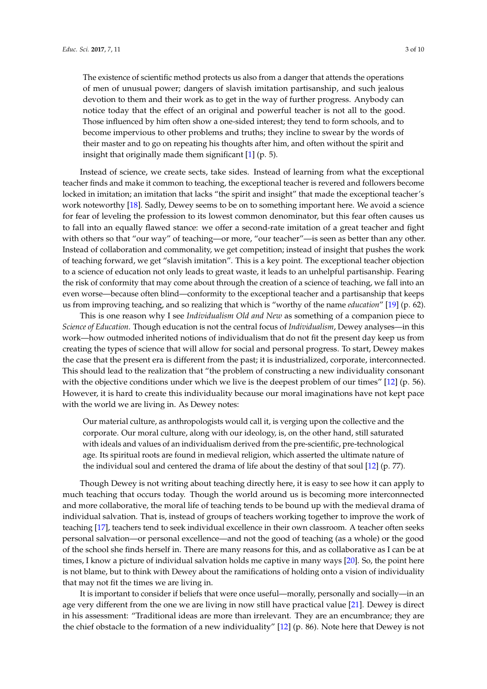The existence of scientific method protects us also from a danger that attends the operations of men of unusual power; dangers of slavish imitation partisanship, and such jealous devotion to them and their work as to get in the way of further progress. Anybody can notice today that the effect of an original and powerful teacher is not all to the good. Those influenced by him often show a one-sided interest; they tend to form schools, and to become impervious to other problems and truths; they incline to swear by the words of their master and to go on repeating his thoughts after him, and often without the spirit and insight that originally made them significant [\[1\]](#page-8-0) (p. 5).

Instead of science, we create sects, take sides. Instead of learning from what the exceptional teacher finds and make it common to teaching, the exceptional teacher is revered and followers become locked in imitation; an imitation that lacks "the spirit and insight" that made the exceptional teacher's work noteworthy [\[18\]](#page-9-2). Sadly, Dewey seems to be on to something important here. We avoid a science for fear of leveling the profession to its lowest common denominator, but this fear often causes us to fall into an equally flawed stance: we offer a second-rate imitation of a great teacher and fight with others so that "our way" of teaching—or more, "our teacher"—is seen as better than any other. Instead of collaboration and commonality, we get competition; instead of insight that pushes the work of teaching forward, we get "slavish imitation". This is a key point. The exceptional teacher objection to a science of education not only leads to great waste, it leads to an unhelpful partisanship. Fearing the risk of conformity that may come about through the creation of a science of teaching, we fall into an even worse—because often blind—conformity to the exceptional teacher and a partisanship that keeps us from improving teaching, and so realizing that which is "worthy of the name *education*" [\[19\]](#page-9-3) (p. 62).

This is one reason why I see *Individualism Old and New* as something of a companion piece to *Science of Education*. Though education is not the central focus of *Individualism*, Dewey analyses—in this work—how outmoded inherited notions of individualism that do not fit the present day keep us from creating the types of science that will allow for social and personal progress. To start, Dewey makes the case that the present era is different from the past; it is industrialized, corporate, interconnected. This should lead to the realization that "the problem of constructing a new individuality consonant with the objective conditions under which we live is the deepest problem of our times" [\[12\]](#page-8-9) (p. 56). However, it is hard to create this individuality because our moral imaginations have not kept pace with the world we are living in. As Dewey notes:

Our material culture, as anthropologists would call it, is verging upon the collective and the corporate. Our moral culture, along with our ideology, is, on the other hand, still saturated with ideals and values of an individualism derived from the pre-scientific, pre-technological age. Its spiritual roots are found in medieval religion, which asserted the ultimate nature of the individual soul and centered the drama of life about the destiny of that soul [\[12\]](#page-8-9) (p. 77).

Though Dewey is not writing about teaching directly here, it is easy to see how it can apply to much teaching that occurs today. Though the world around us is becoming more interconnected and more collaborative, the moral life of teaching tends to be bound up with the medieval drama of individual salvation. That is, instead of groups of teachers working together to improve the work of teaching [\[17\]](#page-9-1), teachers tend to seek individual excellence in their own classroom. A teacher often seeks personal salvation—or personal excellence—and not the good of teaching (as a whole) or the good of the school she finds herself in. There are many reasons for this, and as collaborative as I can be at times, I know a picture of individual salvation holds me captive in many ways [\[20\]](#page-9-4). So, the point here is not blame, but to think with Dewey about the ramifications of holding onto a vision of individuality that may not fit the times we are living in.

It is important to consider if beliefs that were once useful—morally, personally and socially—in an age very different from the one we are living in now still have practical value [\[21\]](#page-9-5). Dewey is direct in his assessment: "Traditional ideas are more than irrelevant. They are an encumbrance; they are the chief obstacle to the formation of a new individuality" [\[12\]](#page-8-9) (p. 86). Note here that Dewey is not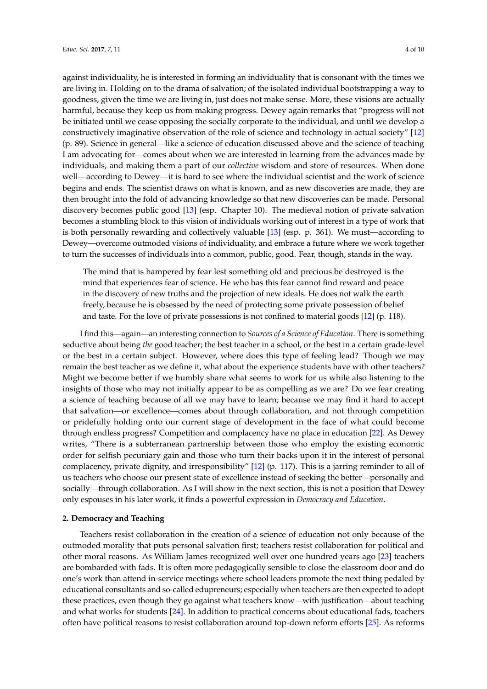against individuality, he is interested in forming an individuality that is consonant with the times we are living in. Holding on to the drama of salvation; of the isolated individual bootstrapping a way to goodness, given the time we are living in, just does not make sense. More, these visions are actually harmful, because they keep us from making progress. Dewey again remarks that "progress will not be initiated until we cease opposing the socially corporate to the individual, and until we develop a constructively imaginative observation of the role of science and technology in actual society" [\[12\]](#page-8-9) (p. 89). Science in general—like a science of education discussed above and the science of teaching I am advocating for—comes about when we are interested in learning from the advances made by individuals, and making them a part of our *collective* wisdom and store of resources. When done well—according to Dewey—it is hard to see where the individual scientist and the work of science begins and ends. The scientist draws on what is known, and as new discoveries are made, they are then brought into the fold of advancing knowledge so that new discoveries can be made. Personal discovery becomes public good [\[13\]](#page-8-10) (esp. Chapter 10). The medieval notion of private salvation becomes a stumbling block to this vision of individuals working out of interest in a type of work that is both personally rewarding and collectively valuable [\[13\]](#page-8-10) (esp. p. 361). We must—according to Dewey—overcome outmoded visions of individuality, and embrace a future where we work together to turn the successes of individuals into a common, public, good. Fear, though, stands in the way.

The mind that is hampered by fear lest something old and precious be destroyed is the mind that experiences fear of science. He who has this fear cannot find reward and peace in the discovery of new truths and the projection of new ideals. He does not walk the earth freely, because he is obsessed by the need of protecting some private possession of belief and taste. For the love of private possessions is not confined to material goods [\[12\]](#page-8-9) (p. 118).

I find this—again—an interesting connection to *Sources of a Science of Education*. There is something seductive about being *the* good teacher; the best teacher in a school, or the best in a certain grade-level or the best in a certain subject. However, where does this type of feeling lead? Though we may remain the best teacher as we define it, what about the experience students have with other teachers? Might we become better if we humbly share what seems to work for us while also listening to the insights of those who may not initially appear to be as compelling as we are? Do we fear creating a science of teaching because of all we may have to learn; because we may find it hard to accept that salvation—or excellence—comes about through collaboration, and not through competition or pridefully holding onto our current stage of development in the face of what could become through endless progress? Competition and complacency have no place in education [\[22\]](#page-9-6). As Dewey writes, "There is a subterranean partnership between those who employ the existing economic order for selfish pecuniary gain and those who turn their backs upon it in the interest of personal complacency, private dignity, and irresponsibility" [\[12\]](#page-8-9) (p. 117). This is a jarring reminder to all of us teachers who choose our present state of excellence instead of seeking the better—personally and socially—through collaboration. As I will show in the next section, this is not a position that Dewey only espouses in his later work, it finds a powerful expression in *Democracy and Education*.

#### **2. Democracy and Teaching**

Teachers resist collaboration in the creation of a science of education not only because of the outmoded morality that puts personal salvation first; teachers resist collaboration for political and other moral reasons. As William James recognized well over one hundred years ago [\[23\]](#page-9-7) teachers are bombarded with fads. It is often more pedagogically sensible to close the classroom door and do one's work than attend in-service meetings where school leaders promote the next thing pedaled by educational consultants and so-called edupreneurs; especially when teachers are then expected to adopt these practices, even though they go against what teachers know—with justification—about teaching and what works for students [\[24\]](#page-9-8). In addition to practical concerns about educational fads, teachers often have political reasons to resist collaboration around top-down reform efforts [\[25\]](#page-9-9). As reforms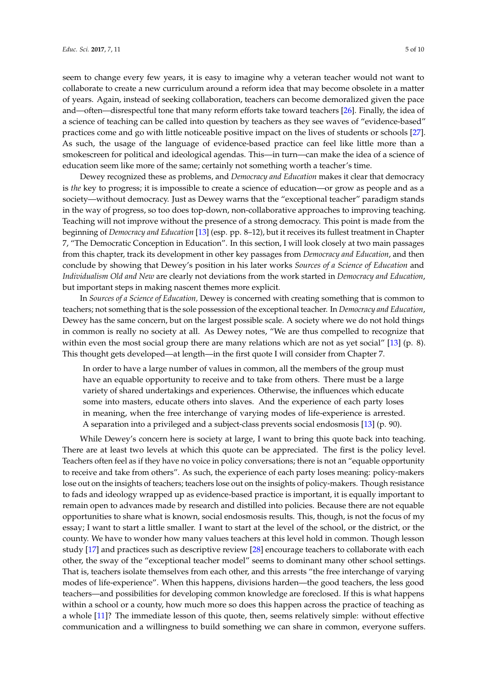seem to change every few years, it is easy to imagine why a veteran teacher would not want to collaborate to create a new curriculum around a reform idea that may become obsolete in a matter of years. Again, instead of seeking collaboration, teachers can become demoralized given the pace and—often—disrespectful tone that many reform efforts take toward teachers [\[26\]](#page-9-10). Finally, the idea of a science of teaching can be called into question by teachers as they see waves of "evidence-based" practices come and go with little noticeable positive impact on the lives of students or schools [\[27\]](#page-9-11). As such, the usage of the language of evidence-based practice can feel like little more than a smokescreen for political and ideological agendas. This—in turn—can make the idea of a science of education seem like more of the same; certainly not something worth a teacher's time.

Dewey recognized these as problems, and *Democracy and Education* makes it clear that democracy is *the* key to progress; it is impossible to create a science of education—or grow as people and as a society—without democracy. Just as Dewey warns that the "exceptional teacher" paradigm stands in the way of progress, so too does top-down, non-collaborative approaches to improving teaching. Teaching will not improve without the presence of a strong democracy. This point is made from the beginning of *Democracy and Education* [\[13\]](#page-8-10) (esp. pp. 8–12), but it receives its fullest treatment in Chapter 7, "The Democratic Conception in Education". In this section, I will look closely at two main passages from this chapter, track its development in other key passages from *Democracy and Education*, and then conclude by showing that Dewey's position in his later works *Sources of a Science of Education* and *Individualism Old and New* are clearly not deviations from the work started in *Democracy and Education*, but important steps in making nascent themes more explicit.

In *Sources of a Science of Education,* Dewey is concerned with creating something that is common to teachers; not something that is the sole possession of the exceptional teacher. In *Democracy and Education*, Dewey has the same concern, but on the largest possible scale. A society where we do not hold things in common is really no society at all. As Dewey notes, "We are thus compelled to recognize that within even the most social group there are many relations which are not as yet social" [\[13\]](#page-8-10) (p. 8). This thought gets developed—at length—in the first quote I will consider from Chapter 7.

In order to have a large number of values in common, all the members of the group must have an equable opportunity to receive and to take from others. There must be a large variety of shared undertakings and experiences. Otherwise, the influences which educate some into masters, educate others into slaves. And the experience of each party loses in meaning, when the free interchange of varying modes of life-experience is arrested. A separation into a privileged and a subject-class prevents social endosmosis [\[13\]](#page-8-10) (p. 90).

While Dewey's concern here is society at large, I want to bring this quote back into teaching. There are at least two levels at which this quote can be appreciated. The first is the policy level. Teachers often feel as if they have no voice in policy conversations; there is not an "equable opportunity to receive and take from others". As such, the experience of each party loses meaning: policy-makers lose out on the insights of teachers; teachers lose out on the insights of policy-makers. Though resistance to fads and ideology wrapped up as evidence-based practice is important, it is equally important to remain open to advances made by research and distilled into policies. Because there are not equable opportunities to share what is known, social endosmosis results. This, though, is not the focus of my essay; I want to start a little smaller. I want to start at the level of the school, or the district, or the county. We have to wonder how many values teachers at this level hold in common. Though lesson study [\[17\]](#page-9-1) and practices such as descriptive review [\[28\]](#page-9-12) encourage teachers to collaborate with each other, the sway of the "exceptional teacher model" seems to dominant many other school settings. That is, teachers isolate themselves from each other, and this arrests "the free interchange of varying modes of life-experience". When this happens, divisions harden—the good teachers, the less good teachers—and possibilities for developing common knowledge are foreclosed. If this is what happens within a school or a county, how much more so does this happen across the practice of teaching as a whole [\[11\]](#page-8-8)? The immediate lesson of this quote, then, seems relatively simple: without effective communication and a willingness to build something we can share in common, everyone suffers.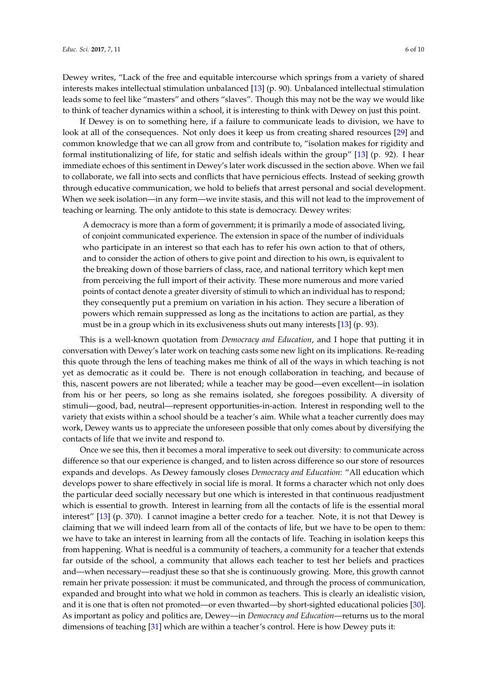Dewey writes, "Lack of the free and equitable intercourse which springs from a variety of shared interests makes intellectual stimulation unbalanced [\[13\]](#page-8-10) (p. 90). Unbalanced intellectual stimulation leads some to feel like "masters" and others "slaves". Though this may not be the way we would like to think of teacher dynamics within a school, it is interesting to think with Dewey on just this point.

If Dewey is on to something here, if a failure to communicate leads to division, we have to look at all of the consequences. Not only does it keep us from creating shared resources [\[29\]](#page-9-13) and common knowledge that we can all grow from and contribute to, "isolation makes for rigidity and formal institutionalizing of life, for static and selfish ideals within the group" [\[13\]](#page-8-10) (p. 92). I hear immediate echoes of this sentiment in Dewey's later work discussed in the section above. When we fail to collaborate, we fall into sects and conflicts that have pernicious effects. Instead of seeking growth through educative communication, we hold to beliefs that arrest personal and social development. When we seek isolation—in any form—we invite stasis, and this will not lead to the improvement of teaching or learning. The only antidote to this state is democracy. Dewey writes:

A democracy is more than a form of government; it is primarily a mode of associated living, of conjoint communicated experience. The extension in space of the number of individuals who participate in an interest so that each has to refer his own action to that of others, and to consider the action of others to give point and direction to his own, is equivalent to the breaking down of those barriers of class, race, and national territory which kept men from perceiving the full import of their activity. These more numerous and more varied points of contact denote a greater diversity of stimuli to which an individual has to respond; they consequently put a premium on variation in his action. They secure a liberation of powers which remain suppressed as long as the incitations to action are partial, as they must be in a group which in its exclusiveness shuts out many interests [\[13\]](#page-8-10) (p. 93).

This is a well-known quotation from *Democracy and Education*, and I hope that putting it in conversation with Dewey's later work on teaching casts some new light on its implications. Re-reading this quote through the lens of teaching makes me think of all of the ways in which teaching is not yet as democratic as it could be. There is not enough collaboration in teaching, and because of this, nascent powers are not liberated; while a teacher may be good—even excellent—in isolation from his or her peers, so long as she remains isolated, she foregoes possibility. A diversity of stimuli—good, bad, neutral—represent opportunities-in-action. Interest in responding well to the variety that exists within a school should be a teacher's aim. While what a teacher currently does may work, Dewey wants us to appreciate the unforeseen possible that only comes about by diversifying the contacts of life that we invite and respond to.

Once we see this, then it becomes a moral imperative to seek out diversity: to communicate across difference so that our experience is changed, and to listen across difference so our store of resources expands and develops. As Dewey famously closes *Democracy and Education*: "All education which develops power to share effectively in social life is moral. It forms a character which not only does the particular deed socially necessary but one which is interested in that continuous readjustment which is essential to growth. Interest in learning from all the contacts of life is the essential moral interest" [\[13\]](#page-8-10) (p. 370). I cannot imagine a better credo for a teacher. Note, it is not that Dewey is claiming that we will indeed learn from all of the contacts of life, but we have to be open to them: we have to take an interest in learning from all the contacts of life. Teaching in isolation keeps this from happening. What is needful is a community of teachers, a community for a teacher that extends far outside of the school, a community that allows each teacher to test her beliefs and practices and—when necessary—readjust these so that she is continuously growing. More, this growth cannot remain her private possession: it must be communicated, and through the process of communication, expanded and brought into what we hold in common as teachers. This is clearly an idealistic vision, and it is one that is often not promoted—or even thwarted—by short-sighted educational policies [\[30\]](#page-9-14). As important as policy and politics are, Dewey—in *Democracy and Education*—returns us to the moral dimensions of teaching [\[31\]](#page-9-15) which are within a teacher's control. Here is how Dewey puts it: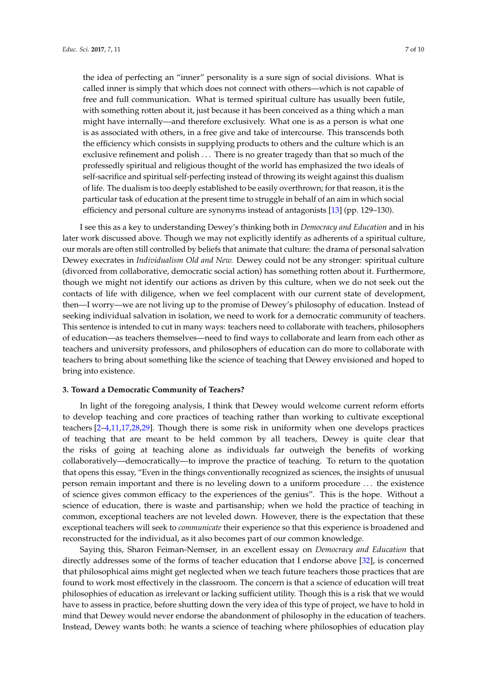the idea of perfecting an "inner" personality is a sure sign of social divisions. What is called inner is simply that which does not connect with others—which is not capable of free and full communication. What is termed spiritual culture has usually been futile, with something rotten about it, just because it has been conceived as a thing which a man might have internally—and therefore exclusively. What one is as a person is what one is as associated with others, in a free give and take of intercourse. This transcends both the efficiency which consists in supplying products to others and the culture which is an exclusive refinement and polish ... There is no greater tragedy than that so much of the professedly spiritual and religious thought of the world has emphasized the two ideals of self-sacrifice and spiritual self-perfecting instead of throwing its weight against this dualism of life. The dualism is too deeply established to be easily overthrown; for that reason, it is the particular task of education at the present time to struggle in behalf of an aim in which social efficiency and personal culture are synonyms instead of antagonists [\[13\]](#page-8-10) (pp. 129–130).

I see this as a key to understanding Dewey's thinking both in *Democracy and Education* and in his later work discussed above. Though we may not explicitly identify as adherents of a spiritual culture, our morals are often still controlled by beliefs that animate that culture: the drama of personal salvation Dewey execrates in *Individualism Old and New.* Dewey could not be any stronger: spiritual culture (divorced from collaborative, democratic social action) has something rotten about it. Furthermore, though we might not identify our actions as driven by this culture, when we do not seek out the contacts of life with diligence, when we feel complacent with our current state of development, then—I worry—we are not living up to the promise of Dewey's philosophy of education. Instead of seeking individual salvation in isolation, we need to work for a democratic community of teachers. This sentence is intended to cut in many ways: teachers need to collaborate with teachers, philosophers of education—as teachers themselves—need to find ways to collaborate and learn from each other as teachers and university professors, and philosophers of education can do more to collaborate with teachers to bring about something like the science of teaching that Dewey envisioned and hoped to bring into existence.

## **3. Toward a Democratic Community of Teachers?**

In light of the foregoing analysis, I think that Dewey would welcome current reform efforts to develop teaching and core practices of teaching rather than working to cultivate exceptional teachers [\[2](#page-8-1)[–4](#page-8-13)[,11](#page-8-8)[,17](#page-9-1)[,28](#page-9-12)[,29\]](#page-9-13). Though there is some risk in uniformity when one develops practices of teaching that are meant to be held common by all teachers, Dewey is quite clear that the risks of going at teaching alone as individuals far outweigh the benefits of working collaboratively—democratically—to improve the practice of teaching. To return to the quotation that opens this essay, "Even in the things conventionally recognized as sciences, the insights of unusual person remain important and there is no leveling down to a uniform procedure . . . the existence of science gives common efficacy to the experiences of the genius". This is the hope. Without a science of education, there is waste and partisanship; when we hold the practice of teaching in common, exceptional teachers are not leveled down. However, there is the expectation that these exceptional teachers will seek to *communicate* their experience so that this experience is broadened and reconstructed for the individual, as it also becomes part of our common knowledge.

Saying this, Sharon Feiman-Nemser, in an excellent essay on *Democracy and Education* that directly addresses some of the forms of teacher education that I endorse above [\[32\]](#page-9-16), is concerned that philosophical aims might get neglected when we teach future teachers those practices that are found to work most effectively in the classroom. The concern is that a science of education will treat philosophies of education as irrelevant or lacking sufficient utility. Though this is a risk that we would have to assess in practice, before shutting down the very idea of this type of project, we have to hold in mind that Dewey would never endorse the abandonment of philosophy in the education of teachers. Instead, Dewey wants both: he wants a science of teaching where philosophies of education play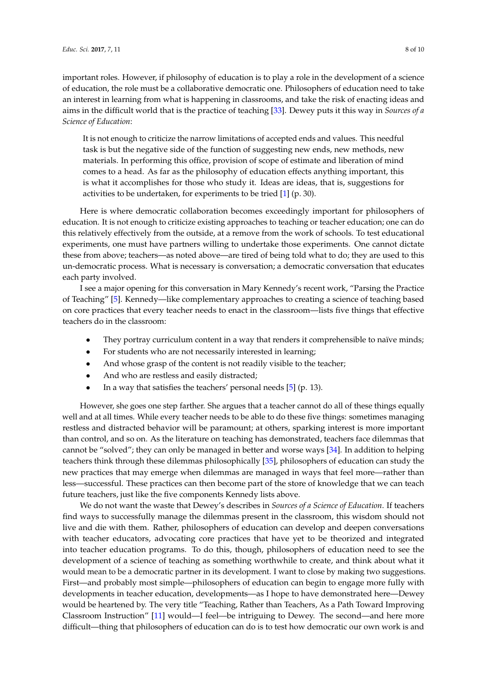important roles. However, if philosophy of education is to play a role in the development of a science of education, the role must be a collaborative democratic one. Philosophers of education need to take an interest in learning from what is happening in classrooms, and take the risk of enacting ideas and aims in the difficult world that is the practice of teaching [\[33\]](#page-9-17). Dewey puts it this way in *Sources of a Science of Education*:

It is not enough to criticize the narrow limitations of accepted ends and values. This needful task is but the negative side of the function of suggesting new ends, new methods, new materials. In performing this office, provision of scope of estimate and liberation of mind comes to a head. As far as the philosophy of education effects anything important, this is what it accomplishes for those who study it. Ideas are ideas, that is, suggestions for activities to be undertaken, for experiments to be tried [\[1\]](#page-8-0) (p. 30).

Here is where democratic collaboration becomes exceedingly important for philosophers of education. It is not enough to criticize existing approaches to teaching or teacher education; one can do this relatively effectively from the outside, at a remove from the work of schools. To test educational experiments, one must have partners willing to undertake those experiments. One cannot dictate these from above; teachers—as noted above—are tired of being told what to do; they are used to this un-democratic process. What is necessary is conversation; a democratic conversation that educates each party involved.

I see a major opening for this conversation in Mary Kennedy's recent work, "Parsing the Practice of Teaching" [\[5\]](#page-8-3). Kennedy—like complementary approaches to creating a science of teaching based on core practices that every teacher needs to enact in the classroom—lists five things that effective teachers do in the classroom:

- They portray curriculum content in a way that renders it comprehensible to naïve minds;
- For students who are not necessarily interested in learning;
- And whose grasp of the content is not readily visible to the teacher;
- And who are restless and easily distracted;
- In a way that satisfies the teachers' personal needs [\[5\]](#page-8-3) (p. 13).

However, she goes one step farther. She argues that a teacher cannot do all of these things equally well and at all times. While every teacher needs to be able to do these five things: sometimes managing restless and distracted behavior will be paramount; at others, sparking interest is more important than control, and so on. As the literature on teaching has demonstrated, teachers face dilemmas that cannot be "solved"; they can only be managed in better and worse ways [\[34\]](#page-9-18). In addition to helping teachers think through these dilemmas philosophically [\[35\]](#page-9-19), philosophers of education can study the new practices that may emerge when dilemmas are managed in ways that feel more—rather than less—successful. These practices can then become part of the store of knowledge that we can teach future teachers, just like the five components Kennedy lists above.

We do not want the waste that Dewey's describes in *Sources of a Science of Education*. If teachers find ways to successfully manage the dilemmas present in the classroom, this wisdom should not live and die with them. Rather, philosophers of education can develop and deepen conversations with teacher educators, advocating core practices that have yet to be theorized and integrated into teacher education programs. To do this, though, philosophers of education need to see the development of a science of teaching as something worthwhile to create, and think about what it would mean to be a democratic partner in its development. I want to close by making two suggestions. First—and probably most simple—philosophers of education can begin to engage more fully with developments in teacher education, developments—as I hope to have demonstrated here—Dewey would be heartened by. The very title "Teaching, Rather than Teachers, As a Path Toward Improving Classroom Instruction" [\[11\]](#page-8-8) would—I feel—be intriguing to Dewey. The second—and here more difficult—thing that philosophers of education can do is to test how democratic our own work is and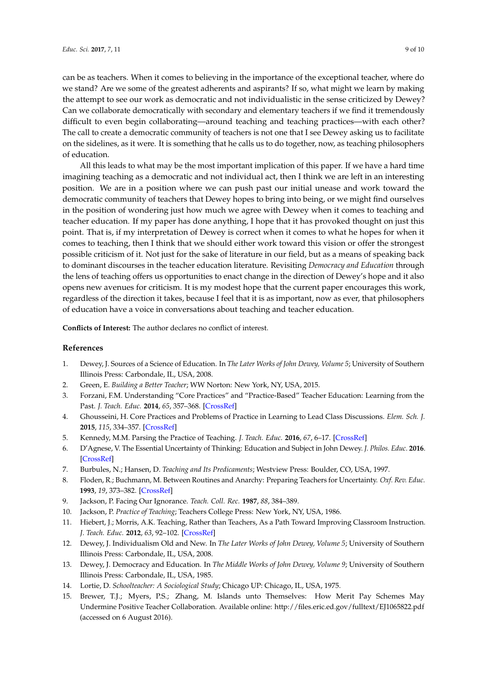can be as teachers. When it comes to believing in the importance of the exceptional teacher, where do we stand? Are we some of the greatest adherents and aspirants? If so, what might we learn by making the attempt to see our work as democratic and not individualistic in the sense criticized by Dewey? Can we collaborate democratically with secondary and elementary teachers if we find it tremendously difficult to even begin collaborating—around teaching and teaching practices—with each other? The call to create a democratic community of teachers is not one that I see Dewey asking us to facilitate on the sidelines, as it were. It is something that he calls us to do together, now, as teaching philosophers of education.

All this leads to what may be the most important implication of this paper. If we have a hard time imagining teaching as a democratic and not individual act, then I think we are left in an interesting position. We are in a position where we can push past our initial unease and work toward the democratic community of teachers that Dewey hopes to bring into being, or we might find ourselves in the position of wondering just how much we agree with Dewey when it comes to teaching and teacher education. If my paper has done anything, I hope that it has provoked thought on just this point. That is, if my interpretation of Dewey is correct when it comes to what he hopes for when it comes to teaching, then I think that we should either work toward this vision or offer the strongest possible criticism of it. Not just for the sake of literature in our field, but as a means of speaking back to dominant discourses in the teacher education literature. Revisiting *Democracy and Education* through the lens of teaching offers us opportunities to enact change in the direction of Dewey's hope and it also opens new avenues for criticism. It is my modest hope that the current paper encourages this work, regardless of the direction it takes, because I feel that it is as important, now as ever, that philosophers of education have a voice in conversations about teaching and teacher education.

**Conflicts of Interest:** The author declares no conflict of interest.

### **References**

- <span id="page-8-0"></span>1. Dewey, J. Sources of a Science of Education. In *The Later Works of John Dewey, Volume 5*; University of Southern Illinois Press: Carbondale, IL, USA, 2008.
- <span id="page-8-1"></span>2. Green, E. *Building a Better Teacher*; WW Norton: New York, NY, USA, 2015.
- <span id="page-8-2"></span>3. Forzani, F.M. Understanding "Core Practices" and "Practice-Based" Teacher Education: Learning from the Past. *J. Teach. Educ.* **2014**, *65*, 357–368. [\[CrossRef\]](http://dx.doi.org/10.1177/0022487114533800)
- <span id="page-8-13"></span>4. Ghousseini, H. Core Practices and Problems of Practice in Learning to Lead Class Discussions. *Elem. Sch. J.* **2015**, *115*, 334–357. [\[CrossRef\]](http://dx.doi.org/10.1086/680053)
- <span id="page-8-3"></span>5. Kennedy, M.M. Parsing the Practice of Teaching. *J. Teach. Educ.* **2016**, *67*, 6–17. [\[CrossRef\]](http://dx.doi.org/10.1177/0022487115614617)
- <span id="page-8-4"></span>6. D'Agnese, V. The Essential Uncertainty of Thinking: Education and Subject in John Dewey. *J. Philos. Educ.* **2016**. [\[CrossRef\]](http://dx.doi.org/10.1111/1467-9752.12187)
- 7. Burbules, N.; Hansen, D. *Teaching and Its Predicaments*; Westview Press: Boulder, CO, USA, 1997.
- <span id="page-8-5"></span>8. Floden, R.; Buchmann, M. Between Routines and Anarchy: Preparing Teachers for Uncertainty. *Oxf. Rev. Educ.* **1993**, *19*, 373–382. [\[CrossRef\]](http://dx.doi.org/10.1080/0305498930190308)
- <span id="page-8-6"></span>9. Jackson, P. Facing Our Ignorance. *Teach. Coll. Rec.* **1987**, *88*, 384–389.
- <span id="page-8-7"></span>10. Jackson, P. *Practice of Teaching*; Teachers College Press: New York, NY, USA, 1986.
- <span id="page-8-8"></span>11. Hiebert, J.; Morris, A.K. Teaching, Rather than Teachers, As a Path Toward Improving Classroom Instruction. *J. Teach. Educ.* **2012**, *63*, 92–102. [\[CrossRef\]](http://dx.doi.org/10.1177/0022487111428328)
- <span id="page-8-9"></span>12. Dewey, J. Individualism Old and New. In *The Later Works of John Dewey, Volume 5*; University of Southern Illinois Press: Carbondale, IL, USA, 2008.
- <span id="page-8-10"></span>13. Dewey, J. Democracy and Education. In *The Middle Works of John Dewey, Volume 9*; University of Southern Illinois Press: Carbondale, IL, USA, 1985.
- <span id="page-8-11"></span>14. Lortie, D. *Schoolteacher: A Sociological Study*; Chicago UP: Chicago, IL, USA, 1975.
- <span id="page-8-12"></span>15. Brewer, T.J.; Myers, P.S.; Zhang, M. Islands unto Themselves: How Merit Pay Schemes May Undermine Positive Teacher Collaboration. Available online: <http://files.eric.ed.gov/fulltext/EJ1065822.pdf> (accessed on 6 August 2016).